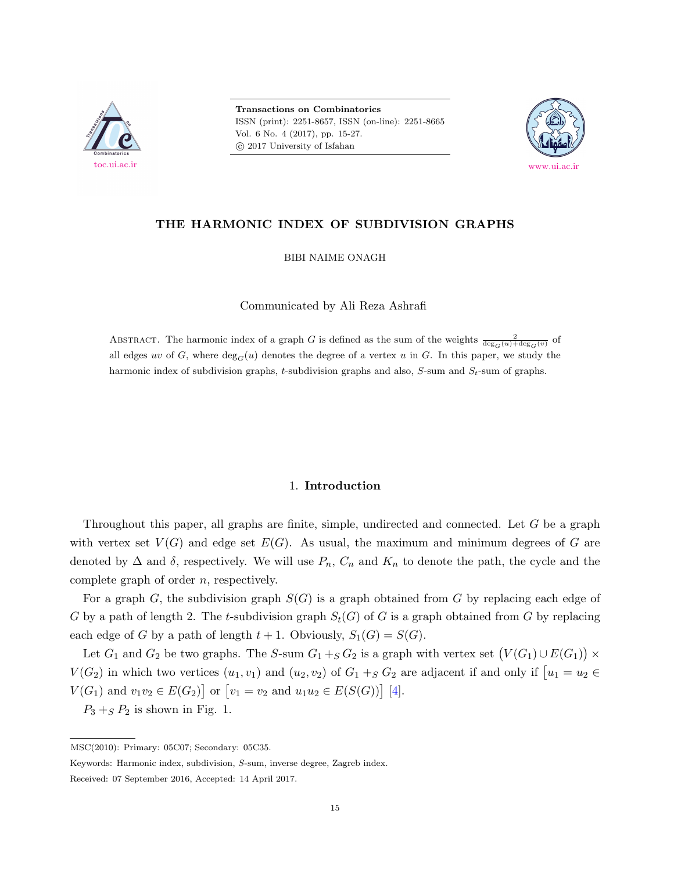

**Transactions on Combinatorics** ISSN (print): 2251-8657, ISSN (on-line): 2251-8665 Vol. 6 No. 4 (2017), pp. 15-27.  $\odot$  2017 University of Isfahan



# **THE HARMONIC INDEX OF SUBDIVISION GRAPHS**

BIBI NAIME ONAGH

Communicated by Ali Reza Ashrafi

ABSTRACT. The harmonic index of a graph *G* is defined as the sum of the weights  $\frac{2}{\deg_G(u) + \deg_G(v)}$  of all edges *uv* of *G*, where  $\deg_G(u)$  denotes the degree of a vertex *u* in *G*. In this paper, we study the harmonic index of subdivision graphs, *t*-subdivision graphs and also, *S*-sum and *St*-sum of graphs.

#### 1. **Introduction**

Throughout this paper, all graphs are finite, simple, undirected and connected. Let *G* be a graph with vertex set  $V(G)$  and edge set  $E(G)$ . As usual, the maximum and minimum degrees of G are denoted by  $\Delta$  and  $\delta$ , respectively. We will use  $P_n$ ,  $C_n$  and  $K_n$  to denote the path, the cycle and the complete graph of order *n*, respectively.

For a graph *G*, the subdivision graph *S*(*G*) is a graph obtained from *G* by replacing each edge of *G* by a path of length 2. The *t*-subdivision graph  $S_t(G)$  of *G* is a graph obtained from *G* by replacing each edge of *G* by a path of length  $t + 1$ . Obviously,  $S_1(G) = S(G)$ .

Let  $G_1$  and  $G_2$  be two graphs. The *S*-sum  $G_1 + _S G_2$  is a graph with vertex set  $(V(G_1) \cup E(G_1)) \times$ *V*( $G_2$ ) in which two vertices  $(u_1, v_1)$  and  $(u_2, v_2)$  of  $G_1 + _S G_2$  are adjacent if and only if  $u_1 = u_2 \in$ *V*(*G*<sub>1</sub>) and  $v_1v_2 \in E(G_2)$  or  $[v_1 = v_2 \text{ and } u_1u_2 \in E(S(G))]$  [\[4\]](#page-12-0).

 $P_3 +_S P_2$  is shown in Fig. 1.

MSC(2010): Primary: 05C07; Secondary: 05C35.

Keywords: Harmonic index, subdivision, *S*-sum, inverse degree, Zagreb index.

Received: 07 September 2016, Accepted: 14 April 2017.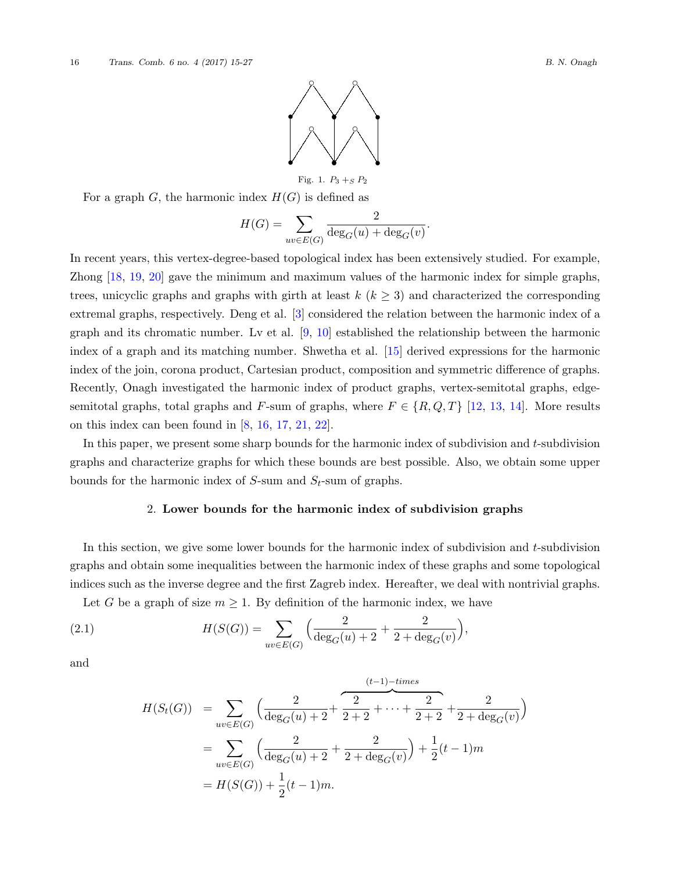

Fig. 1.  $P_3 +_S P_2$ 

For a graph  $G$ , the harmonic index  $H(G)$  is defined as

$$
H(G) = \sum_{uv \in E(G)} \frac{2}{\deg_G(u) + \deg_G(v)}.
$$

In recent years, this vertex-degree-based topological index has been extensively studied. For example, Zhong [[18,](#page-12-1) [19,](#page-12-2) [20](#page-12-3)] gave the minimum and maximum values of the harmonic index for simple graphs, trees, unicyclic graphs and graphs with girth at least  $k$  ( $k \geq 3$ ) and characterized the corresponding extremal graphs, respectively. Deng et al. [\[3\]](#page-12-4) considered the relation between the harmonic index of a graph and its chromatic number. Lv et al. [\[9,](#page-12-5) [10\]](#page-12-6) established the relationship between the harmonic index of a graph and its matching number. Shwetha et al. [[15\]](#page-12-7) derived expressions for the harmonic index of the join, corona product, Cartesian product, composition and symmetric difference of graphs. Recently, Onagh investigated the harmonic index of product graphs, vertex-semitotal graphs, edgesemitotal graphs, total graphs and *F*-sum of graphs, where  $F \in \{R, Q, T\}$  [\[12](#page-12-8), [13](#page-12-9), [14\]](#page-12-10). More results on this index can been found in  $[8, 16, 17, 21, 22]$  $[8, 16, 17, 21, 22]$  $[8, 16, 17, 21, 22]$  $[8, 16, 17, 21, 22]$  $[8, 16, 17, 21, 22]$  $[8, 16, 17, 21, 22]$  $[8, 16, 17, 21, 22]$  $[8, 16, 17, 21, 22]$  $[8, 16, 17, 21, 22]$  $[8, 16, 17, 21, 22]$ .

In this paper, we present some sharp bounds for the harmonic index of subdivision and *t*-subdivision graphs and characterize graphs for which these bounds are best possible. Also, we obtain some upper bounds for the harmonic index of *S*-sum and *St*-sum of graphs.

### 2. **Lower bounds for the harmonic index of subdivision graphs**

In this section, we give some lower bounds for the harmonic index of subdivision and *t*-subdivision graphs and obtain some inequalities between the harmonic index of these graphs and some topological indices such as the inverse degree and the first Zagreb index. Hereafter, we deal with nontrivial graphs.

Let *G* be a graph of size  $m \geq 1$ . By definition of the harmonic index, we have

(2.1) 
$$
H(S(G)) = \sum_{uv \in E(G)} \left( \frac{2}{\deg_G(u) + 2} + \frac{2}{2 + \deg_G(v)} \right),
$$

and

$$
H(S_t(G)) = \sum_{uv \in E(G)} \left( \frac{2}{\deg_G(u) + 2} + \frac{2}{2+2} + \dots + \frac{2}{2+2} + \frac{2}{2+\deg_G(v)} \right)
$$
  
= 
$$
\sum_{uv \in E(G)} \left( \frac{2}{\deg_G(u) + 2} + \frac{2}{2+\deg_G(v)} \right) + \frac{1}{2}(t-1)m
$$
  
= 
$$
H(S(G)) + \frac{1}{2}(t-1)m.
$$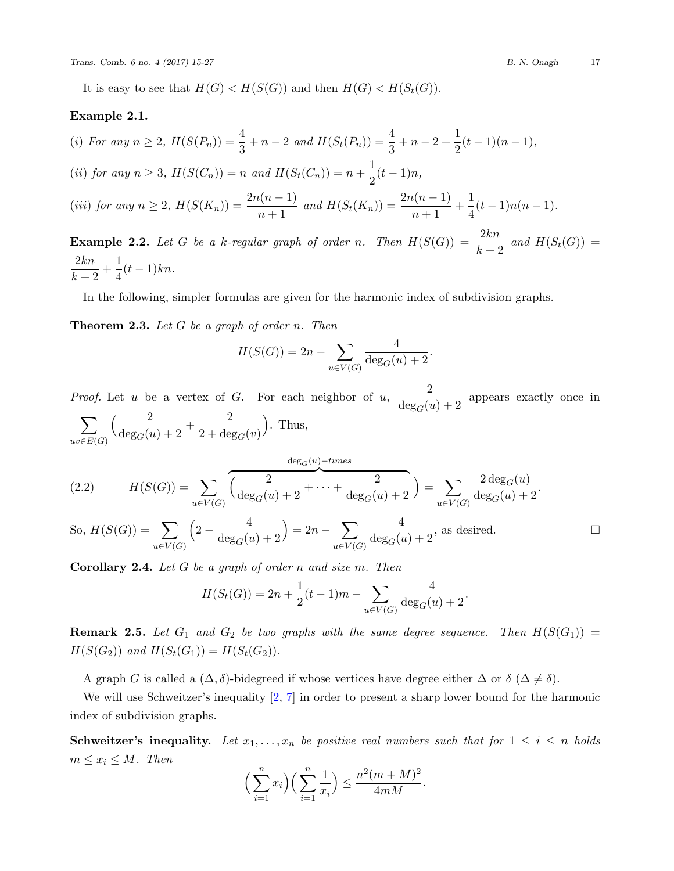It is easy to see that  $H(G) < H(S(G))$  and then  $H(G) < H(S_t(G))$ .

#### **Example 2.1.**

(i) For any 
$$
n \ge 2
$$
,  $H(S(P_n)) = \frac{4}{3} + n - 2$  and  $H(S_t(P_n)) = \frac{4}{3} + n - 2 + \frac{1}{2}(t - 1)(n - 1)$ ,  
\n(ii) for any  $n \ge 3$ ,  $H(S(C_n)) = n$  and  $H(S_t(C_n)) = n + \frac{1}{2}(t - 1)n$ ,  
\n(iii) for any  $n \ge 2$ ,  $H(S(K_n)) = \frac{2n(n-1)}{n+1}$  and  $H(S_t(K_n)) = \frac{2n(n-1)}{n+1} + \frac{1}{4}(t - 1)n(n - 1)$ .  
\n**Example 2.2.** Let G be a k-regular graph of order n. Then  $H(S(G)) = \frac{2kn}{n+1}$  and  $H(S_t(G)) = \frac{2n(n-1)}{n+1}$ .

 $\frac{1}{k+2}$  $d$   $H(S_t(G)) =$ 2*kn*  $\frac{2kn}{k+2} + \frac{1}{4}$  $\frac{1}{4}(t-1)kn$ .

In the following, simpler formulas are given for the harmonic index of subdivision graphs.

<span id="page-2-0"></span>**Theorem 2.3.** *Let G be a graph of order n. Then*

$$
H(S(G)) = 2n - \sum_{u \in V(G)} \frac{4}{\deg_G(u) + 2}.
$$

*Proof.* Let *u* be a vertex of *G*. For each neighbor of *u*,  $\frac{2}{\deg_G(u)+2}$  appears exactly once in ∑ *uv∈E*(*G*)  $\left(\frac{2}{\deg_G(u)+2}+\frac{2}{2+\deg_G(u)}\right)$  $2 + \deg_G(v)$ ) . Thus, deg*G*(*u*)*−times*

<span id="page-2-1"></span>(2.2) 
$$
H(S(G)) = \sum_{u \in V(G)} \overbrace{\left(\frac{2}{\deg_G(u) + 2} + \dots + \frac{2}{\deg_G(u) + 2}\right)}^{2} = \sum_{u \in V(G)} \frac{2 \deg_G(u)}{\deg_G(u) + 2}.
$$
  
So,  $H(S(G)) = \sum_{u \in V(G)} \overbrace{\left(2 - \frac{4}{\deg_G(u)}\right)}^{2} = 2n$ 

So, 
$$
H(S(G)) = \sum_{u \in V(G)} \left(2 - \frac{4}{\deg_G(u) + 2}\right) = 2n - \sum_{u \in V(G)} \frac{4}{\deg_G(u) + 2}
$$
, as desired.

**Corollary 2.4.** *Let G be a graph of order n and size m. Then*

$$
H(S_t(G)) = 2n + \frac{1}{2}(t-1)m - \sum_{u \in V(G)} \frac{4}{\deg_G(u) + 2}.
$$

**Remark 2.5.** Let  $G_1$  and  $G_2$  be two graphs with the same degree sequence. Then  $H(S(G_1)) =$ *H*(*S*(*G*<sub>2</sub>)) *and H*(*S*<sub>*t*</sub>(*G*<sub>1</sub>)) = *H*(*S*<sub>*t*</sub>(*G*<sub>2</sub>)).

A graph *G* is called a  $(\Delta, \delta)$ -bidegreed if whose vertices have degree either  $\Delta$  or  $\delta$   $(\Delta \neq \delta)$ .

We will use Schweitzer's inequality  $[2, 7]$  $[2, 7]$  $[2, 7]$  $[2, 7]$  in order to present a sharp lower bound for the harmonic index of subdivision graphs.

**Schweitzer's inequality.** Let  $x_1, \ldots, x_n$  be positive real numbers such that for  $1 \leq i \leq n$  holds  $m \leq x_i \leq M$ *. Then* 

$$
\left(\sum_{i=1}^{n} x_i\right) \left(\sum_{i=1}^{n} \frac{1}{x_i}\right) \le \frac{n^2 (m+M)^2}{4mM}.
$$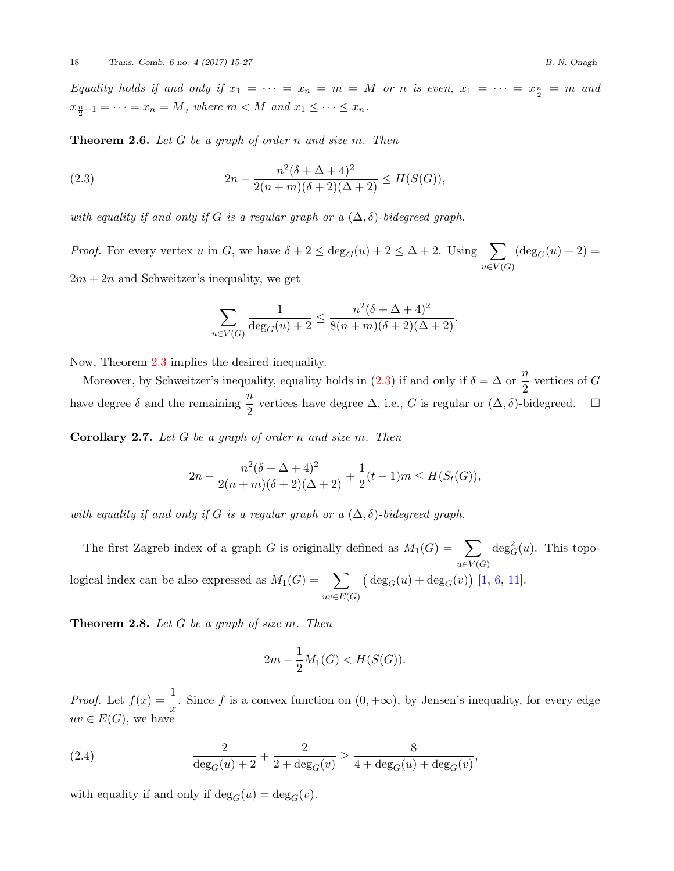*Equality holds if and only if*  $x_1 = \cdots = x_n = m = M$  *or n is even,*  $x_1 = \cdots = x_{\frac{n}{2}} = m$  *and*  $x_{\frac{n}{2}+1} = \cdots = x_n = M$ , where  $m < M$  and  $x_1 \leq \cdots \leq x_n$ .

**Theorem 2.6.** *Let G be a graph of order n and size m. Then*

<span id="page-3-0"></span>(2.3) 
$$
2n - \frac{n^2(\delta + \Delta + 4)^2}{2(n+m)(\delta + 2)(\Delta + 2)} \le H(S(G)),
$$

*with equality if and only if G is a regular graph or a*  $(\Delta, \delta)$ *-bidegreed graph.* 

*Proof.* For every vertex *u* in *G*, we have  $\delta + 2 \le \deg_G(u) + 2 \le \Delta + 2$ . Using  $\sum$ *u∈V* (*G*)  $(\deg_G(u) + 2) =$  $2m + 2n$  and Schweitzer's inequality, we get

$$
\sum_{u \in V(G)} \frac{1}{\deg_G(u) + 2} \le \frac{n^2(\delta + \Delta + 4)^2}{8(n+m)(\delta + 2)(\Delta + 2)}.
$$

Now, Theorem [2.3](#page-2-0) implies the desired inequality.

Moreover, by Schweitzer's inequality, equality holds in ([2.3](#page-3-0)) if and only if  $\delta = \Delta$  or  $\frac{n}{2}$  vertices of *G* have degree  $\delta$  and the remaining  $\frac{n}{2}$  vertices have degree  $\Delta$ , i.e., *G* is regular or  $(\Delta, \delta)$ -bidegreed. □

**Corollary 2.7.** *Let G be a graph of order n and size m. Then*

$$
2n - \frac{n^2(\delta + \Delta + 4)^2}{2(n+m)(\delta + 2)(\Delta + 2)} + \frac{1}{2}(t-1)m \le H(S_t(G)),
$$

*with equality if and only if G is a regular graph or a*  $(\Delta, \delta)$ *-bidegreed graph.* 

The first Zagreb index of a graph *G* is originally defined as  $M_1(G) = \sum$ *u∈V* (*G*)  $deg_G^2(u)$ . This topological index can be also expressed as  $M_1(G) = \sum$ *uv∈E*(*G*)  $(\deg_G(u) + \deg_G(v))$  [\[1,](#page-11-1) [6,](#page-12-17) [11\]](#page-12-18).

**Theorem 2.8.** *Let G be a graph of size m. Then*

$$
2m - \frac{1}{2}M_1(G) < H(S(G)).
$$

*Proof.* Let  $f(x) = \frac{1}{x}$ . Since *f* is a convex function on  $(0, +\infty)$ , by Jensen's inequality, for every edge  $uv \in E(G)$ , we have

<span id="page-3-1"></span>(2.4) 
$$
\frac{2}{\deg_G(u) + 2} + \frac{2}{2 + \deg_G(v)} \ge \frac{8}{4 + \deg_G(u) + \deg_G(v)},
$$

with equality if and only if  $\deg_G(u) = \deg_G(v)$ .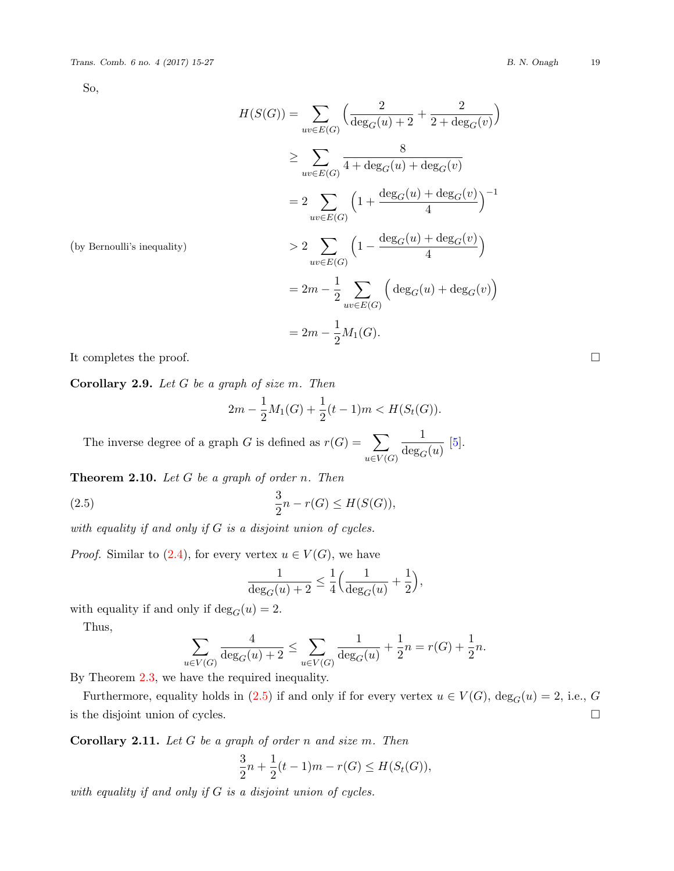So,

$$
H(S(G)) = \sum_{uv \in E(G)} \left( \frac{2}{\deg_G(u) + 2} + \frac{2}{2 + \deg_G(v)} \right)
$$
  
\n
$$
\geq \sum_{uv \in E(G)} \frac{8}{4 + \deg_G(u) + \deg_G(v)}
$$
  
\n
$$
= 2 \sum_{uv \in E(G)} \left( 1 + \frac{\deg_G(u) + \deg_G(v)}{4} \right)^{-1}
$$
  
\n
$$
> 2 \sum_{uv \in E(G)} \left( 1 - \frac{\deg_G(u) + \deg_G(v)}{4} \right)
$$
  
\n
$$
= 2m - \frac{1}{2} \sum_{uv \in E(G)} \left( \deg_G(u) + \deg_G(v) \right)
$$
  
\n
$$
= 2m - \frac{1}{2} M_1(G).
$$

(by Bernoulli's inequality)

It completes the proof.  $\Box$ 

**Corollary 2.9.** *Let G be a graph of size m. Then*

$$
2m - \frac{1}{2}M_1(G) + \frac{1}{2}(t-1)m < H(S_t(G)).
$$

The inverse degree of a graph *G* is defined as  $r(G) = \sum$ *u∈V* (*G*) 1  $\frac{1}{\deg_G(u)}$  [\[5\]](#page-12-19).

**Theorem 2.10.** *Let G be a graph of order n. Then*

<span id="page-4-0"></span>(2.5) 
$$
\frac{3}{2}n - r(G) \le H(S(G)),
$$

*with equality if and only if G is a disjoint union of cycles.*

*Proof.* Similar to [\(2.4](#page-3-1)), for every vertex  $u \in V(G)$ , we have

$$
\frac{1}{\deg_G(u) + 2} \le \frac{1}{4} \Big( \frac{1}{\deg_G(u)} + \frac{1}{2} \Big),
$$

with equality if and only if  $\deg_G(u) = 2$ .

Thus,

$$
\sum_{u \in V(G)} \frac{4}{\deg_G(u) + 2} \le \sum_{u \in V(G)} \frac{1}{\deg_G(u)} + \frac{1}{2}n = r(G) + \frac{1}{2}n.
$$

By Theorem [2.3,](#page-2-0) we have the required inequality.

Furthermore, equality holds in  $(2.5)$  $(2.5)$  if and only if for every vertex  $u \in V(G)$ ,  $\deg_G(u) = 2$ , i.e., *G* is the disjoint union of cycles.  $\Box$ 

**Corollary 2.11.** *Let G be a graph of order n and size m. Then*

$$
\frac{3}{2}n + \frac{1}{2}(t-1)m - r(G) \le H(S_t(G)),
$$

*with equality if and only if G is a disjoint union of cycles.*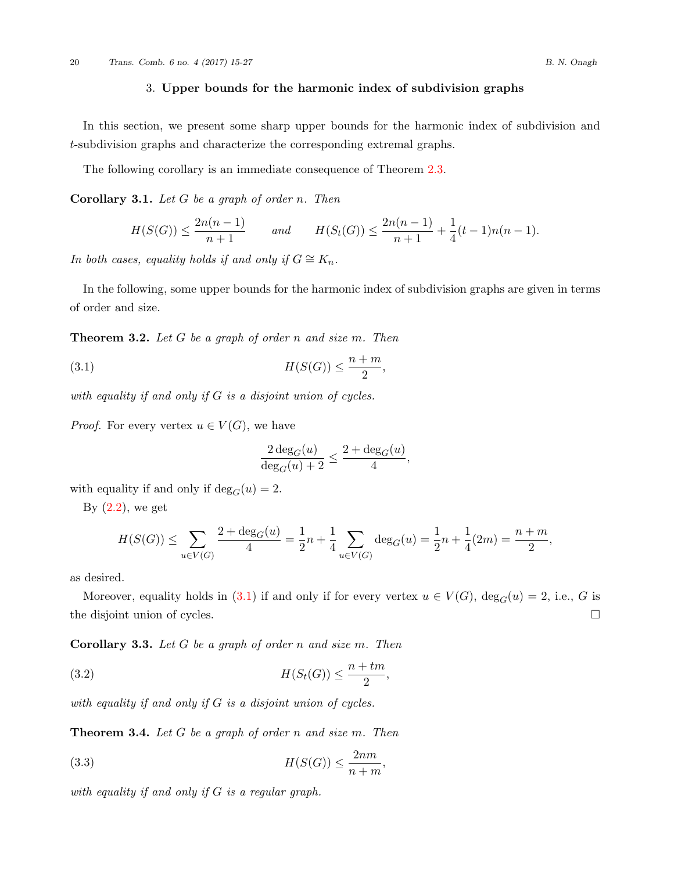## 3. **Upper bounds for the harmonic index of subdivision graphs**

In this section, we present some sharp upper bounds for the harmonic index of subdivision and *t*-subdivision graphs and characterize the corresponding extremal graphs.

The following corollary is an immediate consequence of Theorem [2.3.](#page-2-0)

**Corollary 3.1.** *Let G be a graph of order n. Then*

$$
H(S(G)) \le \frac{2n(n-1)}{n+1} \quad \text{and} \quad H(S_t(G)) \le \frac{2n(n-1)}{n+1} + \frac{1}{4}(t-1)n(n-1).
$$

*In both cases, equality holds if and only if*  $G \cong K_n$ *.* 

In the following, some upper bounds for the harmonic index of subdivision graphs are given in terms of order and size.

**Theorem 3.2.** *Let G be a graph of order n and size m. Then*

<span id="page-5-0"></span>*H*(*S*(*G*)) *≤ n* + *m* 2 (3.1) *,*

*with equality if and only if G is a disjoint union of cycles.*

*Proof.* For every vertex  $u \in V(G)$ , we have

$$
\frac{2 \deg_G(u)}{\deg_G(u) + 2} \le \frac{2 + \deg_G(u)}{4},
$$

with equality if and only if  $deg_G(u) = 2$ .

By  $(2.2)$  $(2.2)$ , we get

$$
H(S(G)) \le \sum_{u \in V(G)} \frac{2 + \deg_G(u)}{4} = \frac{1}{2}n + \frac{1}{4} \sum_{u \in V(G)} \deg_G(u) = \frac{1}{2}n + \frac{1}{4}(2m) = \frac{n+m}{2},
$$

as desired.

Moreover, equality holds in ([3.1](#page-5-0)) if and only if for every vertex  $u \in V(G)$ ,  $\deg_G(u) = 2$ , i.e., *G* is the disjoint union of cycles. □

**Corollary 3.3.** *Let G be a graph of order n and size m. Then*

<span id="page-5-2"></span>*H*(*St*(*G*)) *≤ n* + *tm* 2 (3.2) *,*

*with equality if and only if G is a disjoint union of cycles.*

**Theorem 3.4.** *Let G be a graph of order n and size m. Then*

<span id="page-5-1"></span>
$$
(3.3) \tH(S(G)) \le \frac{2nm}{n+m},
$$

*with equality if and only if G is a regular graph.*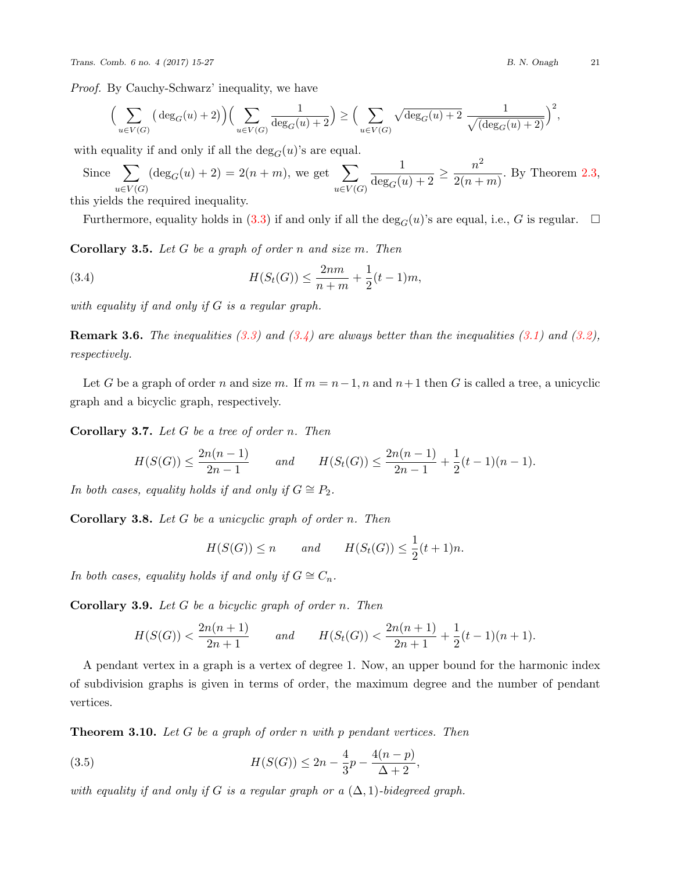$$
\Big(\sum_{u\in V(G)} \big(\deg_G(u)+2\big)\Big)\Big(\sum_{u\in V(G)} \frac{1}{\deg_G(u)+2}\Big) \ge \Big(\sum_{u\in V(G)} \sqrt{\deg_G(u)+2} \frac{1}{\sqrt{(\deg_G(u)+2)}}\Big)^2,
$$

with equality if and only if all the  $deg_G(u)$ 's are equal.

Since 
$$
\sum_{u \in V(G)} (\deg_G(u) + 2) = 2(n+m)
$$
, we get  $\sum_{u \in V(G)} \frac{1}{\deg_G(u) + 2} \ge \frac{n^2}{2(n+m)}$ . By Theorem 2.3,

this yields the required inequality.

Furthermore, equality holds in ([3.3\)](#page-5-1) if and only if all the  $\deg_G(u)$ 's are equal, i.e., *G* is regular.  $\Box$ 

**Corollary 3.5.** *Let G be a graph of order n and size m. Then*

<span id="page-6-0"></span>(3.4) 
$$
H(S_t(G)) \leq \frac{2nm}{n+m} + \frac{1}{2}(t-1)m,
$$

*with equality if and only if G is a regular graph.*

**Remark 3.6.** *The inequalities [\(3.3\)](#page-5-1) and [\(3.4\)](#page-6-0) are always better than the inequalities ([3.1\)](#page-5-0) and [\(3.2\)](#page-5-2), respectively.*

Let *G* be a graph of order *n* and size *m*. If  $m = n - 1$ , *n* and  $n + 1$  then *G* is called a tree, a unicyclic graph and a bicyclic graph, respectively.

**Corollary 3.7.** *Let G be a tree of order n. Then*

$$
H(S(G)) \le \frac{2n(n-1)}{2n-1} \quad \text{and} \quad H(S_t(G)) \le \frac{2n(n-1)}{2n-1} + \frac{1}{2}(t-1)(n-1).
$$

*In both cases, equality holds if and only if*  $G \cong P_2$ *.* 

**Corollary 3.8.** *Let G be a unicyclic graph of order n. Then*

$$
H(S(G)) \le n \qquad and \qquad H(S_t(G)) \le \frac{1}{2}(t+1)n.
$$

*In both cases, equality holds if and only if*  $G \cong C_n$ *.* 

**Corollary 3.9.** *Let G be a bicyclic graph of order n. Then*

$$
H(S(G)) < \frac{2n(n+1)}{2n+1} \qquad \text{and} \qquad H(S_t(G)) < \frac{2n(n+1)}{2n+1} + \frac{1}{2}(t-1)(n+1).
$$

A pendant vertex in a graph is a vertex of degree 1. Now, an upper bound for the harmonic index of subdivision graphs is given in terms of order, the maximum degree and the number of pendant vertices.

**Theorem 3.10.** *Let G be a graph of order n with p pendant vertices. Then*

<span id="page-6-1"></span>(3.5) 
$$
H(S(G)) \leq 2n - \frac{4}{3}p - \frac{4(n-p)}{\Delta + 2},
$$

*with equality if and only if G is a regular graph or a*  $(\Delta, 1)$ *-bidegreed graph.*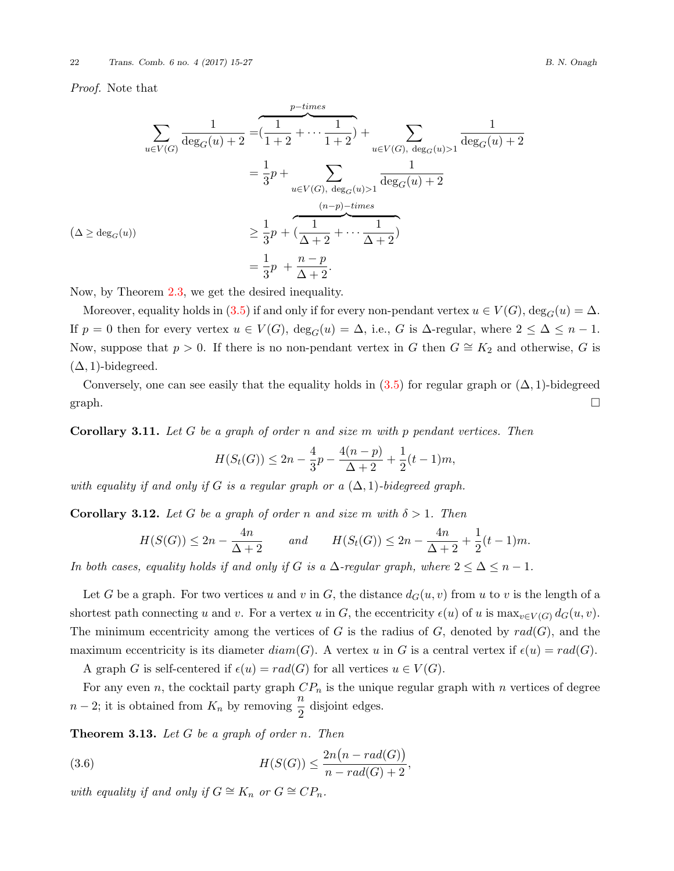*Proof.* Note that

$$
\sum_{u \in V(G)} \frac{1}{\deg_G(u) + 2} = \underbrace{\frac{1}{1+2} + \dots + \frac{1}{1+2}}_{u \in V(G), \deg_G(u) > 1} + \sum_{u \in V(G), \deg_G(u) > 1} \frac{1}{\deg_G(u) + 2}
$$
\n
$$
= \frac{1}{3}p + \sum_{u \in V(G), \deg_G(u) > 1} \frac{1}{\deg_G(u) + 2}
$$
\n
$$
\geq \frac{1}{3}p + \underbrace{\frac{1}{\Delta + 2} + \dots + \frac{1}{\Delta + 2}}_{u \in V(G) + 2}
$$
\n
$$
= \frac{1}{3}p + \frac{n - p}{\Delta + 2}.
$$

Now, by Theorem [2.3,](#page-2-0) we get the desired inequality.

Moreover, equality holds in [\(3.5](#page-6-1)) if and only if for every non-pendant vertex  $u \in V(G)$ , deg<sub>*G*</sub>( $u$ ) =  $\Delta$ . If  $p = 0$  then for every vertex  $u \in V(G)$ ,  $\deg_G(u) = \Delta$ , i.e., *G* is  $\Delta$ -regular, where  $2 \leq \Delta \leq n - 1$ . Now, suppose that  $p > 0$ . If there is no non-pendant vertex in *G* then  $G \cong K_2$  and otherwise, *G* is  $(\Delta, 1)$ -bidegreed.

Conversely, one can see easily that the equality holds in  $(3.5)$  $(3.5)$  for regular graph or  $(\Delta, 1)$ -bidegreed graph.  $\Box$ 

**Corollary 3.11.** *Let G be a graph of order n and size m with p pendant vertices. Then*

$$
H(S_t(G)) \le 2n - \frac{4}{3}p - \frac{4(n-p)}{\Delta + 2} + \frac{1}{2}(t-1)m,
$$

*with equality if and only if G is a regular graph or a*  $(\Delta, 1)$ *-bidegreed graph.* 

**Corollary 3.12.** *Let G be a graph of order n and size m with*  $\delta > 1$ *. Then* 

$$
H(S(G)) \le 2n - \frac{4n}{\Delta + 2} \qquad and \qquad H(S_t(G)) \le 2n - \frac{4n}{\Delta + 2} + \frac{1}{2}(t - 1)m.
$$

*In both cases, equality holds if and only if <i>G is a*  $\Delta$ *-regular graph, where*  $2 \leq \Delta \leq n - 1$ *.* 

Let *G* be a graph. For two vertices *u* and *v* in *G*, the distance  $d_G(u, v)$  from *u* to *v* is the length of a shortest path connecting *u* and *v*. For a vertex *u* in *G*, the eccentricity  $\epsilon(u)$  of *u* is  $\max_{v \in V(G)} d_G(u, v)$ . The minimum eccentricity among the vertices of *G* is the radius of *G*, denoted by  $rad(G)$ , and the maximum eccentricity is its diameter  $diam(G)$ . A vertex *u* in *G* is a central vertex if  $\epsilon(u) = rad(G)$ .

A graph *G* is self-centered if  $\epsilon(u) = rad(G)$  for all vertices  $u \in V(G)$ .

For any even *n*, the cocktail party graph  $CP_n$  is the unique regular graph with *n* vertices of degree  $n-2$ ; it is obtained from  $K_n$  by removing  $\frac{n}{2}$  disjoint edges.

**Theorem 3.13.** *Let G be a graph of order n. Then*

<span id="page-7-0"></span>(3.6) 
$$
H(S(G)) \leq \frac{2n(n - rad(G))}{n - rad(G) + 2},
$$

*with equality if and only if*  $G \cong K_n$  *or*  $G \cong CP_n$ *.*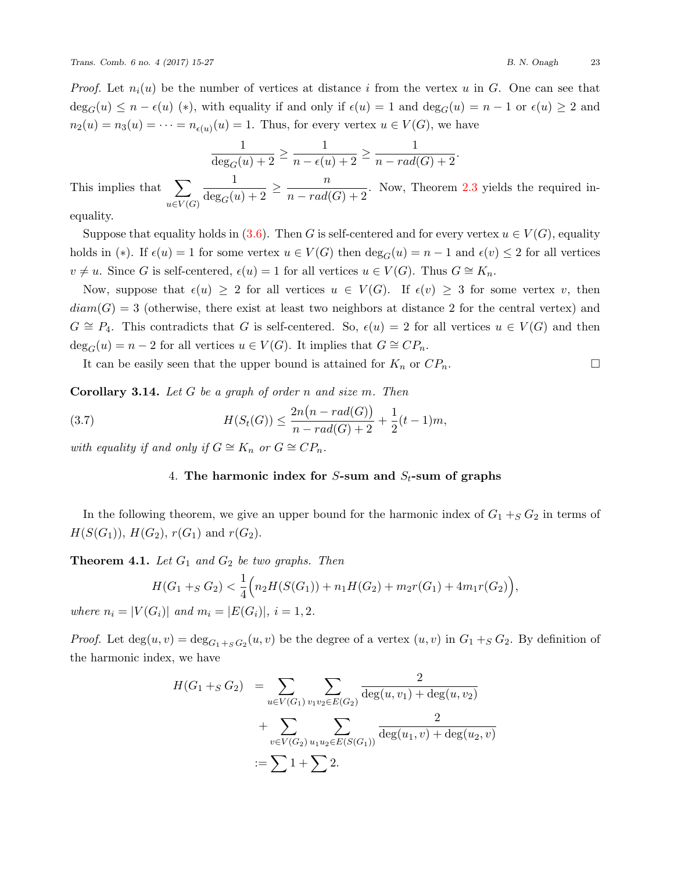*Proof.* Let  $n_i(u)$  be the number of vertices at distance *i* from the vertex *u* in *G*. One can see that  $\deg_G(u) \leq n - \epsilon(u)$  (\*), with equality if and only if  $\epsilon(u) = 1$  and  $\deg_G(u) = n - 1$  or  $\epsilon(u) \geq 2$  and  $n_2(u) = n_3(u) = \cdots = n_{\epsilon(u)}(u) = 1$ . Thus, for every vertex  $u \in V(G)$ , we have

$$
\frac{1}{\deg_G(u)+2} \ge \frac{1}{n - \epsilon(u)+2} \ge \frac{1}{n - rad(G)+2}.
$$

This implies that  $\sum$ *u∈V* (*G*)  $\frac{1}{\deg_G(u)+2} \ge \frac{n}{n-rad(G)+2}$ . Now, Theorem [2.3](#page-2-0) yields the required in-

equality.

Suppose that equality holds in ([3.6](#page-7-0)). Then *G* is self-centered and for every vertex  $u \in V(G)$ , equality holds in (\*). If  $\epsilon(u) = 1$  for some vertex  $u \in V(G)$  then  $\deg_G(u) = n - 1$  and  $\epsilon(v) \leq 2$  for all vertices  $v \neq u$ . Since *G* is self-centered,  $\epsilon(u) = 1$  for all vertices  $u \in V(G)$ . Thus  $G \cong K_n$ .

Now, suppose that  $\epsilon(u) \geq 2$  for all vertices  $u \in V(G)$ . If  $\epsilon(v) \geq 3$  for some vertex *v*, then  $diam(G) = 3$  (otherwise, there exist at least two neighbors at distance 2 for the central vertex) and *G*  $\cong$  *P*<sub>4</sub>. This contradicts that *G* is self-centered. So,  $\epsilon(u) = 2$  for all vertices  $u \in V(G)$  and then  $\deg_G(u) = n - 2$  for all vertices  $u \in V(G)$ . It implies that  $G \cong CP_n$ .

It can be easily seen that the upper bound is attained for  $K_n$  or  $CP_n$ .

**Corollary 3.14.** *Let G be a graph of order n and size m. Then*

(3.7) 
$$
H(S_t(G)) \leq \frac{2n(n - rad(G))}{n - rad(G) + 2} + \frac{1}{2}(t - 1)m,
$$

*with equality if and only if*  $G \cong K_n$  *or*  $G \cong CP_n$ *.* 

## 4. **The harmonic index for** *S***-sum and** *St***-sum of graphs**

In the following theorem, we give an upper bound for the harmonic index of  $G_1 +_S G_2$  in terms of *H*(*S*(*G*<sub>1</sub>)), *H*(*G*<sub>2</sub>), *r*(*G*<sub>1</sub>) and *r*(*G*<sub>2</sub>).

**Theorem 4.1.** *Let G*<sup>1</sup> *and G*<sup>2</sup> *be two graphs. Then*

$$
H(G_1 +_S G_2) < \frac{1}{4} \Big( n_2 H(S(G_1)) + n_1 H(G_2) + m_2 r(G_1) + 4m_1 r(G_2) \Big),
$$
\n
$$
(G_1) \quad \text{and} \quad m_1 = |E(G_1)|, \quad i = 1, 2
$$

*where*  $n_i = |V(G_i)|$  *and*  $m_i = |E(G_i)|$ ,  $i = 1, 2$ .

*Proof.* Let  $deg(u, v) = deg_{G_1 +_S G_2}(u, v)$  be the degree of a vertex  $(u, v)$  in  $G_1 +_S G_2$ . By definition of the harmonic index, we have

$$
H(G_1 +_S G_2) = \sum_{u \in V(G_1)} \sum_{v_1 v_2 \in E(G_2)} \frac{2}{\deg(u, v_1) + \deg(u, v_2)}
$$
  
+ 
$$
\sum_{v \in V(G_2)} \sum_{u_1 u_2 \in E(S(G_1))} \frac{2}{\deg(u_1, v) + \deg(u_2, v)}
$$
  
:= 
$$
\sum 1 + \sum 2.
$$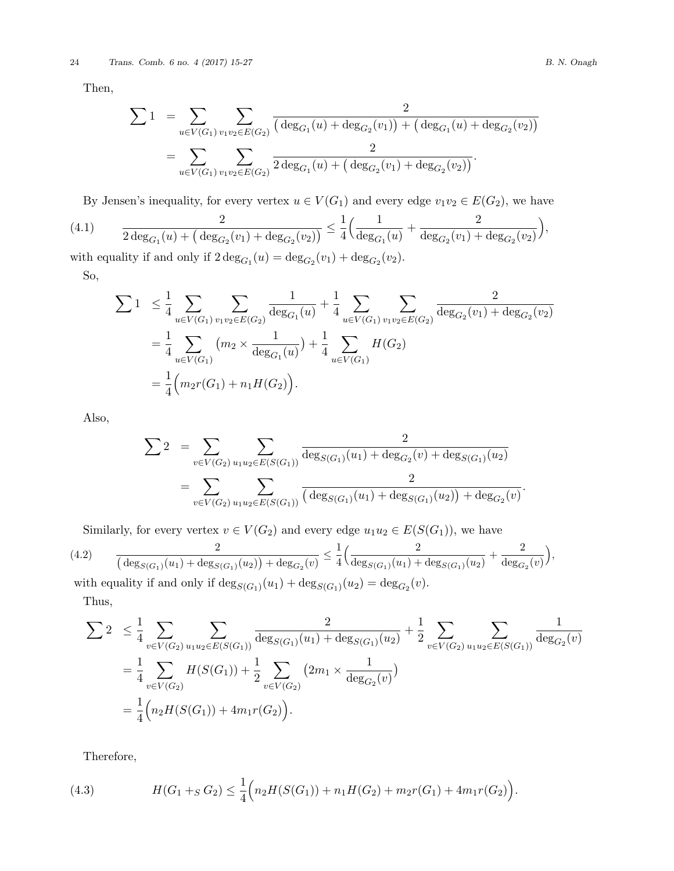Then,

$$
\sum 1 = \sum_{u \in V(G_1)} \sum_{v_1 v_2 \in E(G_2)} \frac{2}{(\deg_{G_1}(u) + \deg_{G_2}(v_1)) + (\deg_{G_1}(u) + \deg_{G_2}(v_2))}
$$
  
= 
$$
\sum_{u \in V(G_1)} \sum_{v_1 v_2 \in E(G_2)} \frac{2}{2 \deg_{G_1}(u) + (\deg_{G_2}(v_1) + \deg_{G_2}(v_2))}.
$$

<span id="page-9-1"></span>By Jensen's inequality, for every vertex  $u \in V(G_1)$  and every edge  $v_1v_2 \in E(G_2)$ , we have

(4.1) 
$$
\frac{2}{2 \deg_{G_1}(u) + (\deg_{G_2}(v_1) + \deg_{G_2}(v_2))} \leq \frac{1}{4} \Big( \frac{1}{\deg_{G_1}(u)} + \frac{2}{\deg_{G_2}(v_1) + \deg_{G_2}(v_2)} \Big),
$$

with equality if and only if  $2 \deg_{G_1}(u) = \deg_{G_2}(v_1) + \deg_{G_2}(v_2)$ . So,

$$
\sum 1 \leq \frac{1}{4} \sum_{u \in V(G_1)} \sum_{v_1 v_2 \in E(G_2)} \frac{1}{\deg_{G_1}(u)} + \frac{1}{4} \sum_{u \in V(G_1)} \sum_{v_1 v_2 \in E(G_2)} \frac{2}{\deg_{G_2}(v_1) + \deg_{G_2}(v_2)}
$$
  
= 
$$
\frac{1}{4} \sum_{u \in V(G_1)} (m_2 \times \frac{1}{\deg_{G_1}(u)}) + \frac{1}{4} \sum_{u \in V(G_1)} H(G_2)
$$
  
= 
$$
\frac{1}{4} (m_2 r(G_1) + n_1 H(G_2)).
$$

Also,

$$
\sum 2 = \sum_{v \in V(G_2)} \sum_{u_1 u_2 \in E(S(G_1))} \frac{2}{\deg_{S(G_1)}(u_1) + \deg_{G_2}(v) + \deg_{S(G_1)}(u_2)}
$$
  
= 
$$
\sum_{v \in V(G_2)} \sum_{u_1 u_2 \in E(S(G_1))} \frac{2}{(\deg_{S(G_1)}(u_1) + \deg_{S(G_1)}(u_2)) + \deg_{G_2}(v)}.
$$

<span id="page-9-2"></span>Similarly, for every vertex  $v \in V(G_2)$  and every edge  $u_1u_2 \in E(S(G_1))$ , we have

$$
(4.2) \qquad \frac{2}{(\deg_{S(G_1)}(u_1) + \deg_{S(G_1)}(u_2)) + \deg_{G_2}(v)} \le \frac{1}{4} \Big( \frac{2}{\deg_{S(G_1)}(u_1) + \deg_{S(G_1)}(u_2)} + \frac{2}{\deg_{G_2}(v)} \Big),
$$
\nwith equality if and only if  $\deg_{S(G_1)}(u_1) + \deg_{S(G_1)}(u_2) = \deg_{G_2}(v)$ .

Thus,

$$
\sum 2 \leq \frac{1}{4} \sum_{v \in V(G_2)} \sum_{u_1 u_2 \in E(S(G_1))} \frac{2}{\deg_{S(G_1)}(u_1) + \deg_{S(G_1)}(u_2)} + \frac{1}{2} \sum_{v \in V(G_2)} \sum_{u_1 u_2 \in E(S(G_1))} \frac{1}{\deg_{G_2}(v)}
$$
  
= 
$$
\frac{1}{4} \sum_{v \in V(G_2)} H(S(G_1)) + \frac{1}{2} \sum_{v \in V(G_2)} (2m_1 \times \frac{1}{\deg_{G_2}(v)})
$$
  
= 
$$
\frac{1}{4} \Big( n_2 H(S(G_1)) + 4m_1 r(G_2) \Big).
$$

<span id="page-9-0"></span>Therefore,

(4.3) 
$$
H(G_1 +_S G_2) \leq \frac{1}{4} \Big( n_2 H(S(G_1)) + n_1 H(G_2) + m_2 r(G_1) + 4m_1 r(G_2) \Big).
$$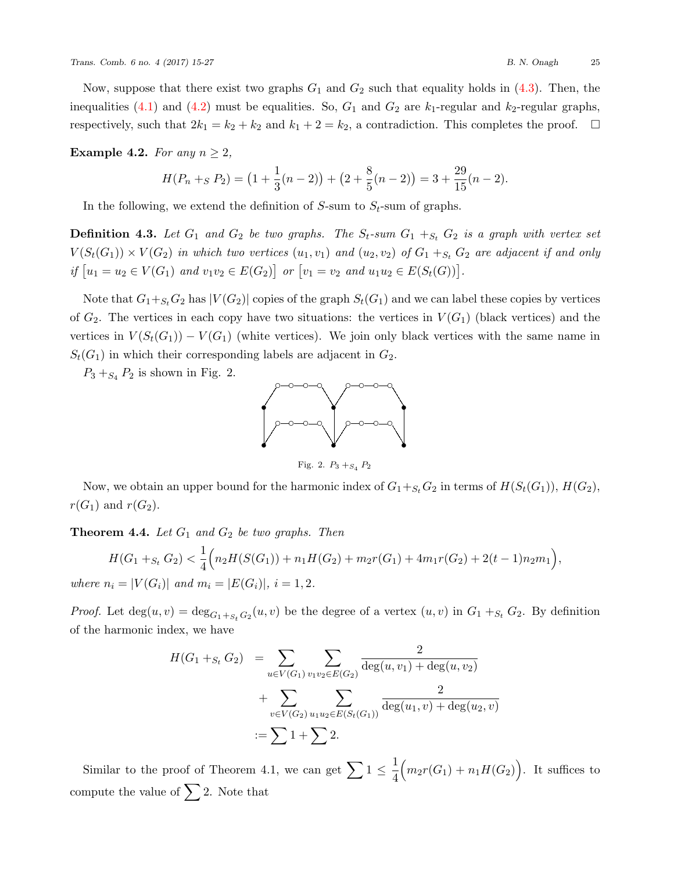Now, suppose that there exist two graphs  $G_1$  and  $G_2$  such that equality holds in  $(4.3)$  $(4.3)$ . Then, the inequalities  $(4.1)$  $(4.1)$  and  $(4.2)$  $(4.2)$  must be equalities. So,  $G_1$  and  $G_2$  are  $k_1$ -regular and  $k_2$ -regular graphs, respectively, such that  $2k_1 = k_2 + k_2$  and  $k_1 + 2 = k_2$ , a contradiction. This completes the proof.  $\Box$ 

### **Example 4.2.** *For any*  $n \geq 2$ *,*

$$
H(P_n +_S P_2) = (1 + \frac{1}{3}(n-2)) + (2 + \frac{8}{5}(n-2)) = 3 + \frac{29}{15}(n-2).
$$

In the following, we extend the definition of  $S$ -sum to  $S_t$ -sum of graphs.

**Definition 4.3.** Let  $G_1$  and  $G_2$  be two graphs. The  $S_t$ -sum  $G_1 +_{S_t} G_2$  is a graph with vertex set  $V(S_t(G_1)) \times V(G_2)$  in which two vertices  $(u_1, v_1)$  and  $(u_2, v_2)$  of  $G_1 +_{S_t} G_2$  are adjacent if and only if  $[u_1 = u_2 \in V(G_1)$  and  $v_1v_2 \in E(G_2)$  or  $[v_1 = v_2$  and  $u_1u_2 \in E(S_t(G))$ .

Note that  $G_1 +_{S_t} G_2$  has  $|V(G_2)|$  copies of the graph  $S_t(G_1)$  and we can label these copies by vertices of  $G_2$ . The vertices in each copy have two situations: the vertices in  $V(G_1)$  (black vertices) and the vertices in  $V(S_t(G_1)) - V(G_1)$  (white vertices). We join only black vertices with the same name in  $S_t(G_1)$  in which their corresponding labels are adjacent in  $G_2$ .

 $P_3 +_{S_4} P_2$  is shown in Fig. 2.



Fig. 2.  $P_3 +_{S_4} P_2$ 

Now, we obtain an upper bound for the harmonic index of  $G_1+_{S_t}G_2$  in terms of  $H(S_t(G_1)), H(G_2)$ ,  $r(G_1)$  and  $r(G_2)$ .

**Theorem 4.4.** *Let G*<sup>1</sup> *and G*<sup>2</sup> *be two graphs. Then*

$$
H(G_1 +_{S_t} G_2) < \frac{1}{4} \Big( n_2 H(S(G_1)) + n_1 H(G_2) + m_2 r(G_1) + 4m_1 r(G_2) + 2(t - 1)n_2 m_1 \Big),
$$
\nwhere  $n_i = |V(G_i)|$  and  $m_i = |E(G_i)|$ ,  $i = 1, 2$ .

*Proof.* Let  $\deg(u, v) = \deg_{G_1 + S_t} G_2(u, v)$  be the degree of a vertex  $(u, v)$  in  $G_1 +_{S_t} G_2$ . By definition of the harmonic index, we have

$$
H(G_1 + S_t G_2) = \sum_{u \in V(G_1)} \sum_{v_1 v_2 \in E(G_2)} \frac{2}{\deg(u, v_1) + \deg(u, v_2)}
$$
  
+ 
$$
\sum_{v \in V(G_2)} \sum_{u_1 u_2 \in E(S_t(G_1))} \frac{2}{\deg(u_1, v) + \deg(u_2, v)}
$$
  
:= 
$$
\sum 1 + \sum 2.
$$

Similar to the proof of Theorem 4.1, we can get  $\sum 1 \leq \frac{1}{4}$ 4  $\left(m_2r(G_1) + n_1H(G_2)\right)$ . It suffices to compute the value of  $\sum 2$ . Note that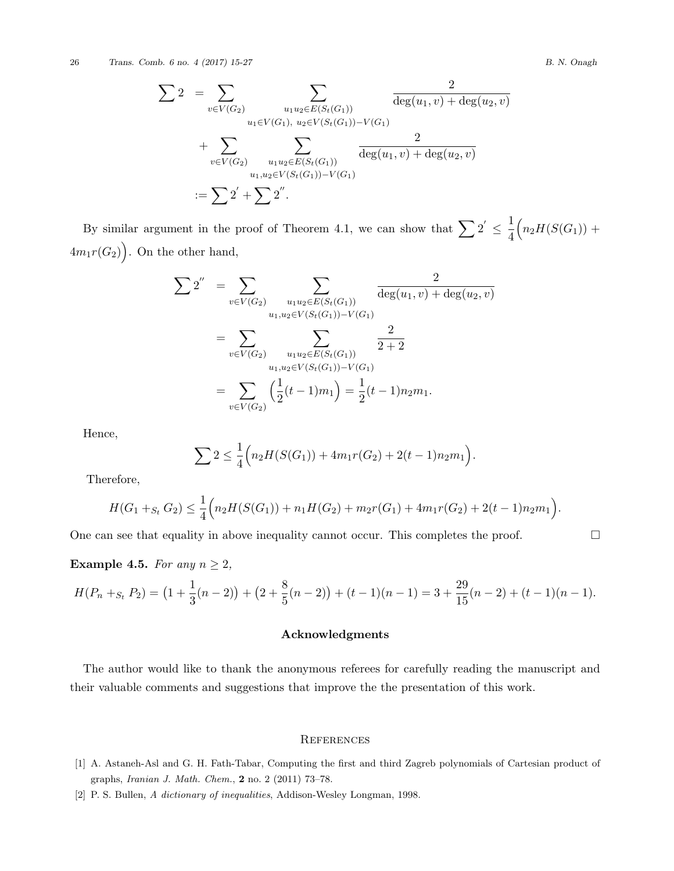26 *Trans. Comb. 6 no. 4 (2017) 15-27 B. N. Onagh*

$$
\sum 2 = \sum_{v \in V(G_2)} \sum_{\substack{u_1 u_2 \in E(S_t(G_1)) \\ u_1 \in V(G_1), u_2 \in V(S_t(G_1)) - V(G_1)}} \frac{2}{\deg(u_1, v) + \deg(u_2, v)}
$$
  
+ 
$$
\sum_{v \in V(G_2)} \sum_{\substack{u_1 u_2 \in E(S_t(G_1)) \\ u_1, u_2 \in V(S_t(G_1)) - V(G_1)}} \frac{2}{\deg(u_1, v) + \deg(u_2, v)}
$$
  
:= 
$$
\sum 2' + \sum 2''.
$$

By similar argument in the proof of Theorem 4.1, we can show that  $\sum_{i=1}^{n} 2^{i} \leq \frac{1}{4}$ 4  $(n_2H(S(G_1)) +$  $4m_1r(G_2)$ . On the other hand,

$$
\sum 2'' = \sum_{v \in V(G_2)} \sum_{\substack{u_1 u_2 \in E(S_t(G_1)) \\ u_1, u_2 \in V(S_t(G_1)) - V(G_1)}} \frac{2}{\deg(u_1, v) + \deg(u_2, v)}
$$

$$
= \sum_{v \in V(G_2)} \sum_{\substack{u_1 u_2 \in E(S_t(G_1)) - V(G_1) \\ u_1, u_2 \in V(S_t(G_1)) - V(G_1)}} \frac{2}{2 + 2}
$$

$$
= \sum_{v \in V(G_2)} \left(\frac{1}{2}(t - 1)m_1\right) = \frac{1}{2}(t - 1)n_2m_1.
$$

Hence,

$$
\sum 2 \leq \frac{1}{4} \Big( n_2 H(S(G_1)) + 4m_1 r(G_2) + 2(t-1)n_2 m_1 \Big).
$$

Therefore,

$$
H(G_1 +_{S_t} G_2) \leq \frac{1}{4} \Big( n_2 H(S(G_1)) + n_1 H(G_2) + m_2 r(G_1) + 4m_1 r(G_2) + 2(t-1)n_2 m_1 \Big).
$$

One can see that equality in above inequality cannot occur. This completes the proof.  $\Box$ 

**Example 4.5.** *For any*  $n \geq 2$ *,* 

$$
H(P_n +_{S_t} P_2) = (1 + \frac{1}{3}(n-2)) + (2 + \frac{8}{5}(n-2)) + (t-1)(n-1) = 3 + \frac{29}{15}(n-2) + (t-1)(n-1).
$$

## **Acknowledgments**

The author would like to thank the anonymous referees for carefully reading the manuscript and their valuable comments and suggestions that improve the the presentation of this work.

#### **REFERENCES**

- <span id="page-11-1"></span>[1] A. Astaneh-Asl and G. H. Fath-Tabar, Computing the first and third Zagreb polynomials of Cartesian product of graphs, *Iranian J. Math. Chem.*, **2** no. 2 (2011) 73–78.
- <span id="page-11-0"></span>[2] P. S. Bullen, *A dictionary of inequalities*, Addison-Wesley Longman, 1998.